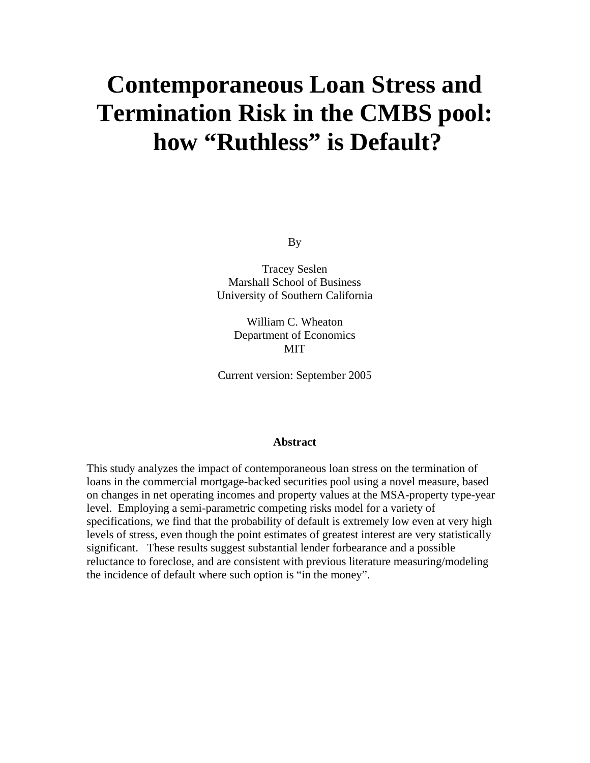# **Contemporaneous Loan Stress and Termination Risk in the CMBS pool: how "Ruthless" is Default?**

By

Tracey Seslen Marshall School of Business University of Southern California

> William C. Wheaton Department of Economics MIT

Current version: September 2005

#### **Abstract**

This study analyzes the impact of contemporaneous loan stress on the termination of loans in the commercial mortgage-backed securities pool using a novel measure, based on changes in net operating incomes and property values at the MSA-property type-year level. Employing a semi-parametric competing risks model for a variety of specifications, we find that the probability of default is extremely low even at very high levels of stress, even though the point estimates of greatest interest are very statistically significant. These results suggest substantial lender forbearance and a possible reluctance to foreclose, and are consistent with previous literature measuring/modeling the incidence of default where such option is "in the money".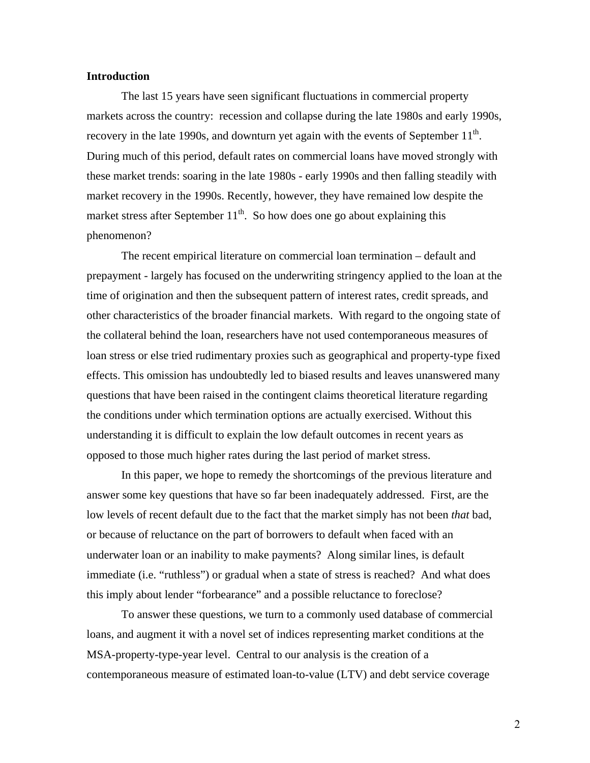#### **Introduction**

The last 15 years have seen significant fluctuations in commercial property markets across the country: recession and collapse during the late 1980s and early 1990s, recovery in the late 1990s, and downturn yet again with the events of September  $11<sup>th</sup>$ . During much of this period, default rates on commercial loans have moved strongly with these market trends: soaring in the late 1980s - early 1990s and then falling steadily with market recovery in the 1990s. Recently, however, they have remained low despite the market stress after September  $11<sup>th</sup>$ . So how does one go about explaining this phenomenon?

The recent empirical literature on commercial loan termination – default and prepayment - largely has focused on the underwriting stringency applied to the loan at the time of origination and then the subsequent pattern of interest rates, credit spreads, and other characteristics of the broader financial markets. With regard to the ongoing state of the collateral behind the loan, researchers have not used contemporaneous measures of loan stress or else tried rudimentary proxies such as geographical and property-type fixed effects. This omission has undoubtedly led to biased results and leaves unanswered many questions that have been raised in the contingent claims theoretical literature regarding the conditions under which termination options are actually exercised. Without this understanding it is difficult to explain the low default outcomes in recent years as opposed to those much higher rates during the last period of market stress.

In this paper, we hope to remedy the shortcomings of the previous literature and answer some key questions that have so far been inadequately addressed. First, are the low levels of recent default due to the fact that the market simply has not been *that* bad, or because of reluctance on the part of borrowers to default when faced with an underwater loan or an inability to make payments? Along similar lines, is default immediate (i.e. "ruthless") or gradual when a state of stress is reached? And what does this imply about lender "forbearance" and a possible reluctance to foreclose?

To answer these questions, we turn to a commonly used database of commercial loans, and augment it with a novel set of indices representing market conditions at the MSA-property-type-year level. Central to our analysis is the creation of a contemporaneous measure of estimated loan-to-value (LTV) and debt service coverage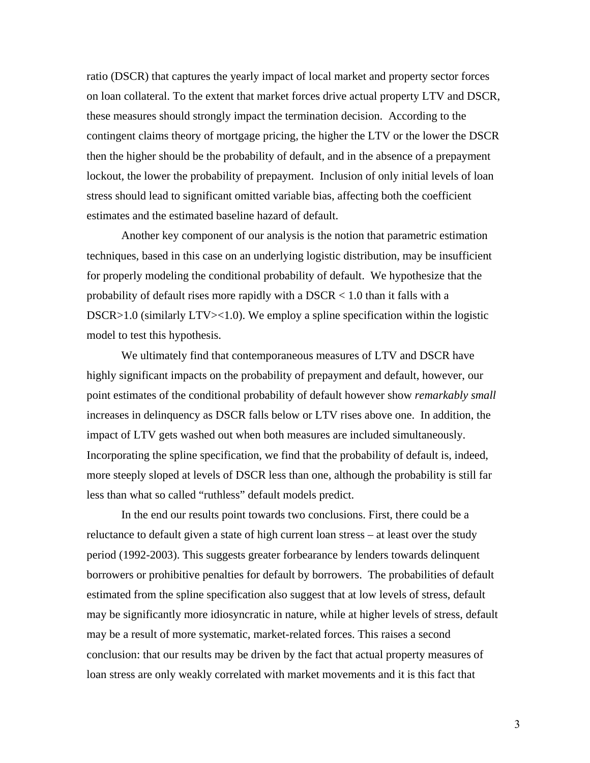ratio (DSCR) that captures the yearly impact of local market and property sector forces on loan collateral. To the extent that market forces drive actual property LTV and DSCR, these measures should strongly impact the termination decision. According to the contingent claims theory of mortgage pricing, the higher the LTV or the lower the DSCR then the higher should be the probability of default, and in the absence of a prepayment lockout, the lower the probability of prepayment. Inclusion of only initial levels of loan stress should lead to significant omitted variable bias, affecting both the coefficient estimates and the estimated baseline hazard of default.

Another key component of our analysis is the notion that parametric estimation techniques, based in this case on an underlying logistic distribution, may be insufficient for properly modeling the conditional probability of default. We hypothesize that the probability of default rises more rapidly with a  $DSCR < 1.0$  than it falls with a DSCR>1.0 (similarly LTV><1.0). We employ a spline specification within the logistic model to test this hypothesis.

We ultimately find that contemporaneous measures of LTV and DSCR have highly significant impacts on the probability of prepayment and default, however, our point estimates of the conditional probability of default however show *remarkably small*  increases in delinquency as DSCR falls below or LTV rises above one. In addition, the impact of LTV gets washed out when both measures are included simultaneously. Incorporating the spline specification, we find that the probability of default is, indeed, more steeply sloped at levels of DSCR less than one, although the probability is still far less than what so called "ruthless" default models predict.

In the end our results point towards two conclusions. First, there could be a reluctance to default given a state of high current loan stress – at least over the study period (1992-2003). This suggests greater forbearance by lenders towards delinquent borrowers or prohibitive penalties for default by borrowers. The probabilities of default estimated from the spline specification also suggest that at low levels of stress, default may be significantly more idiosyncratic in nature, while at higher levels of stress, default may be a result of more systematic, market-related forces. This raises a second conclusion: that our results may be driven by the fact that actual property measures of loan stress are only weakly correlated with market movements and it is this fact that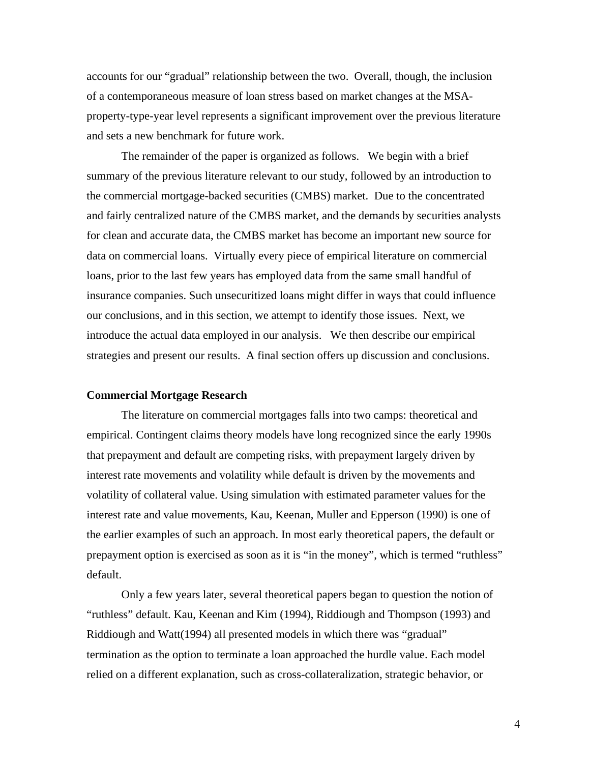accounts for our "gradual" relationship between the two. Overall, though, the inclusion of a contemporaneous measure of loan stress based on market changes at the MSAproperty-type-year level represents a significant improvement over the previous literature and sets a new benchmark for future work.

The remainder of the paper is organized as follows. We begin with a brief summary of the previous literature relevant to our study, followed by an introduction to the commercial mortgage-backed securities (CMBS) market. Due to the concentrated and fairly centralized nature of the CMBS market, and the demands by securities analysts for clean and accurate data, the CMBS market has become an important new source for data on commercial loans. Virtually every piece of empirical literature on commercial loans, prior to the last few years has employed data from the same small handful of insurance companies. Such unsecuritized loans might differ in ways that could influence our conclusions, and in this section, we attempt to identify those issues. Next, we introduce the actual data employed in our analysis. We then describe our empirical strategies and present our results. A final section offers up discussion and conclusions.

#### **Commercial Mortgage Research**

The literature on commercial mortgages falls into two camps: theoretical and empirical. Contingent claims theory models have long recognized since the early 1990s that prepayment and default are competing risks, with prepayment largely driven by interest rate movements and volatility while default is driven by the movements and volatility of collateral value. Using simulation with estimated parameter values for the interest rate and value movements, Kau, Keenan, Muller and Epperson (1990) is one of the earlier examples of such an approach. In most early theoretical papers, the default or prepayment option is exercised as soon as it is "in the money", which is termed "ruthless" default.

Only a few years later, several theoretical papers began to question the notion of "ruthless" default. Kau, Keenan and Kim (1994), Riddiough and Thompson (1993) and Riddiough and Watt(1994) all presented models in which there was "gradual" termination as the option to terminate a loan approached the hurdle value. Each model relied on a different explanation, such as cross-collateralization, strategic behavior, or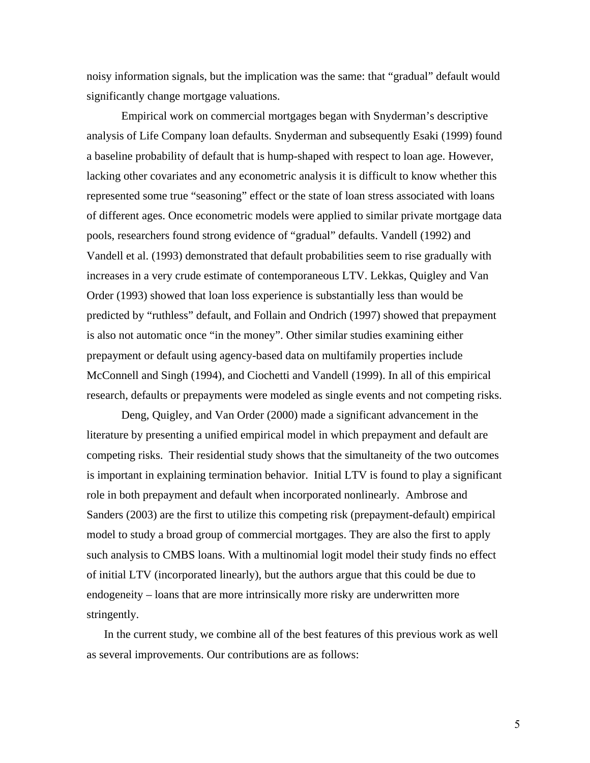noisy information signals, but the implication was the same: that "gradual" default would significantly change mortgage valuations.

Empirical work on commercial mortgages began with Snyderman's descriptive analysis of Life Company loan defaults. Snyderman and subsequently Esaki (1999) found a baseline probability of default that is hump-shaped with respect to loan age. However, lacking other covariates and any econometric analysis it is difficult to know whether this represented some true "seasoning" effect or the state of loan stress associated with loans of different ages. Once econometric models were applied to similar private mortgage data pools, researchers found strong evidence of "gradual" defaults. Vandell (1992) and Vandell et al. (1993) demonstrated that default probabilities seem to rise gradually with increases in a very crude estimate of contemporaneous LTV. Lekkas, Quigley and Van Order (1993) showed that loan loss experience is substantially less than would be predicted by "ruthless" default, and Follain and Ondrich (1997) showed that prepayment is also not automatic once "in the money". Other similar studies examining either prepayment or default using agency-based data on multifamily properties include McConnell and Singh (1994), and Ciochetti and Vandell (1999). In all of this empirical research, defaults or prepayments were modeled as single events and not competing risks.

Deng, Quigley, and Van Order (2000) made a significant advancement in the literature by presenting a unified empirical model in which prepayment and default are competing risks. Their residential study shows that the simultaneity of the two outcomes is important in explaining termination behavior. Initial LTV is found to play a significant role in both prepayment and default when incorporated nonlinearly. Ambrose and Sanders (2003) are the first to utilize this competing risk (prepayment-default) empirical model to study a broad group of commercial mortgages. They are also the first to apply such analysis to CMBS loans. With a multinomial logit model their study finds no effect of initial LTV (incorporated linearly), but the authors argue that this could be due to endogeneity – loans that are more intrinsically more risky are underwritten more stringently.

In the current study, we combine all of the best features of this previous work as well as several improvements. Our contributions are as follows: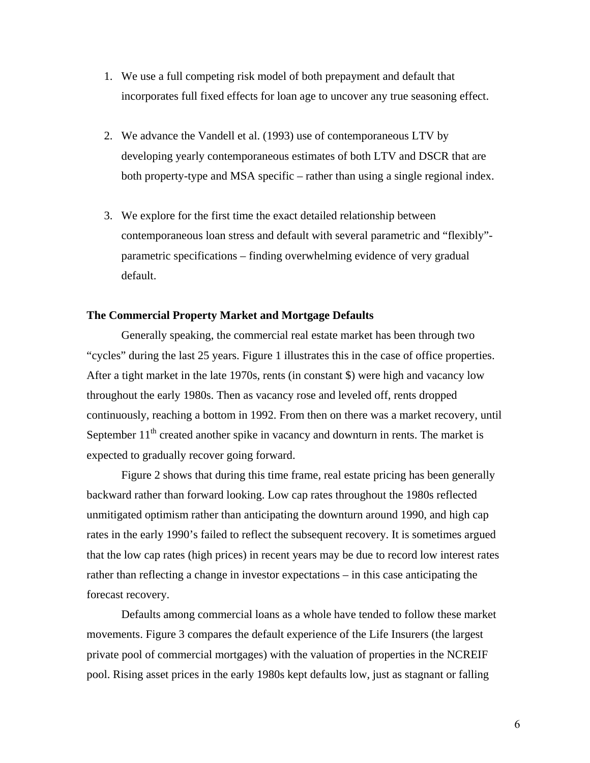- 1. We use a full competing risk model of both prepayment and default that incorporates full fixed effects for loan age to uncover any true seasoning effect.
- 2. We advance the Vandell et al. (1993) use of contemporaneous LTV by developing yearly contemporaneous estimates of both LTV and DSCR that are both property-type and MSA specific – rather than using a single regional index.
- 3. We explore for the first time the exact detailed relationship between contemporaneous loan stress and default with several parametric and "flexibly" parametric specifications – finding overwhelming evidence of very gradual default.

#### **The Commercial Property Market and Mortgage Defaults**

Generally speaking, the commercial real estate market has been through two "cycles" during the last 25 years. Figure 1 illustrates this in the case of office properties. After a tight market in the late 1970s, rents (in constant \$) were high and vacancy low throughout the early 1980s. Then as vacancy rose and leveled off, rents dropped continuously, reaching a bottom in 1992. From then on there was a market recovery, until September  $11<sup>th</sup>$  created another spike in vacancy and downturn in rents. The market is expected to gradually recover going forward.

Figure 2 shows that during this time frame, real estate pricing has been generally backward rather than forward looking. Low cap rates throughout the 1980s reflected unmitigated optimism rather than anticipating the downturn around 1990, and high cap rates in the early 1990's failed to reflect the subsequent recovery. It is sometimes argued that the low cap rates (high prices) in recent years may be due to record low interest rates rather than reflecting a change in investor expectations – in this case anticipating the forecast recovery.

Defaults among commercial loans as a whole have tended to follow these market movements. Figure 3 compares the default experience of the Life Insurers (the largest private pool of commercial mortgages) with the valuation of properties in the NCREIF pool. Rising asset prices in the early 1980s kept defaults low, just as stagnant or falling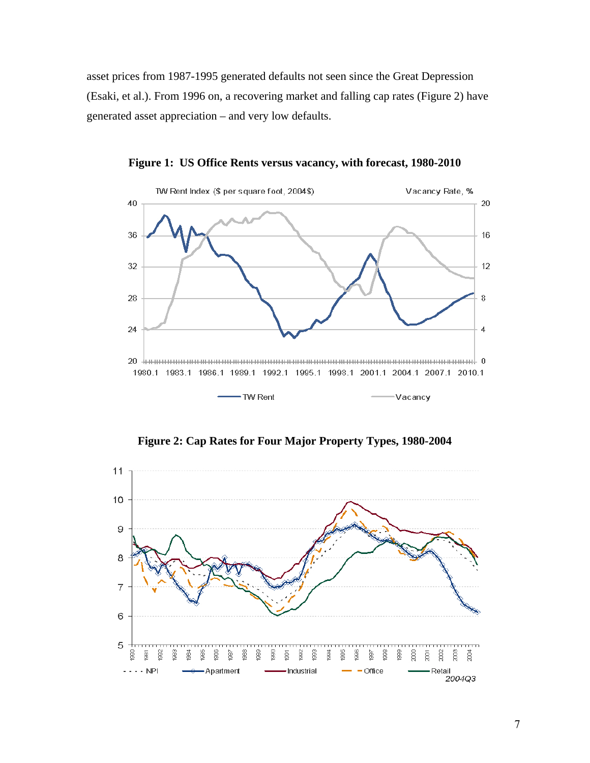asset prices from 1987-1995 generated defaults not seen since the Great Depression (Esaki, et al.). From 1996 on, a recovering market and falling cap rates (Figure 2) have generated asset appreciation – and very low defaults.



**Figure 1: US Office Rents versus vacancy, with forecast, 1980-2010** 

**Figure 2: Cap Rates for Four Major Property Types, 1980-2004** 

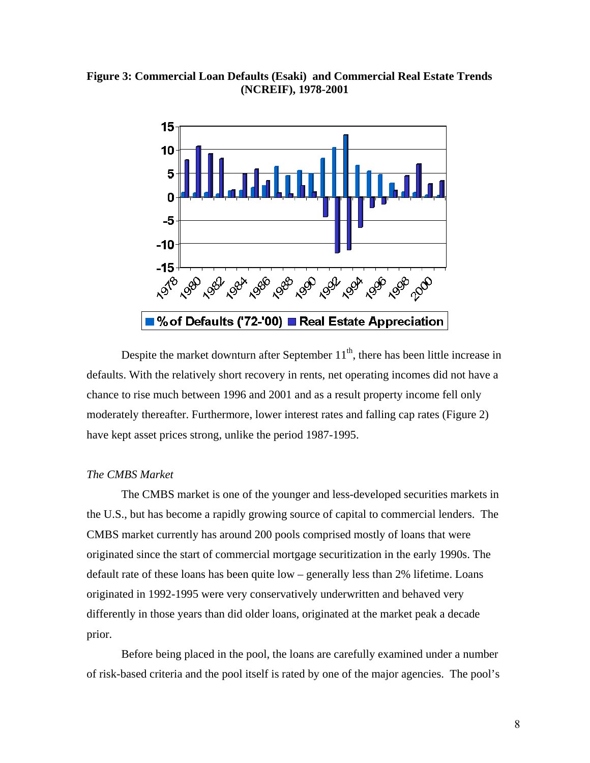# **Figure 3: Commercial Loan Defaults (Esaki) and Commercial Real Estate Trends (NCREIF), 1978-2001**



Despite the market downturn after September  $11<sup>th</sup>$ , there has been little increase in defaults. With the relatively short recovery in rents, net operating incomes did not have a chance to rise much between 1996 and 2001 and as a result property income fell only moderately thereafter. Furthermore, lower interest rates and falling cap rates (Figure 2) have kept asset prices strong, unlike the period 1987-1995.

## *The CMBS Market*

The CMBS market is one of the younger and less-developed securities markets in the U.S., but has become a rapidly growing source of capital to commercial lenders. The CMBS market currently has around 200 pools comprised mostly of loans that were originated since the start of commercial mortgage securitization in the early 1990s. The default rate of these loans has been quite low – generally less than 2% lifetime. Loans originated in 1992-1995 were very conservatively underwritten and behaved very differently in those years than did older loans, originated at the market peak a decade prior.

Before being placed in the pool, the loans are carefully examined under a number of risk-based criteria and the pool itself is rated by one of the major agencies. The pool's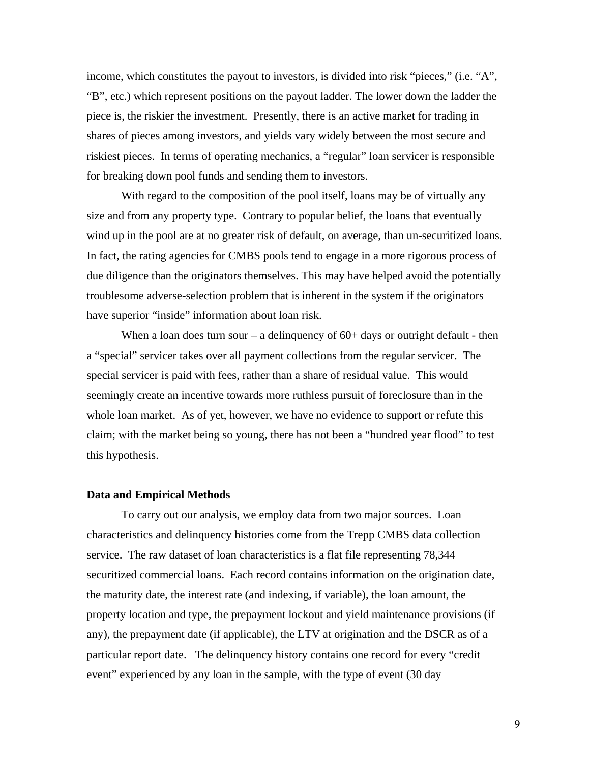income, which constitutes the payout to investors, is divided into risk "pieces," (i.e. "A", "B", etc.) which represent positions on the payout ladder. The lower down the ladder the piece is, the riskier the investment. Presently, there is an active market for trading in shares of pieces among investors, and yields vary widely between the most secure and riskiest pieces. In terms of operating mechanics, a "regular" loan servicer is responsible for breaking down pool funds and sending them to investors.

With regard to the composition of the pool itself, loans may be of virtually any size and from any property type. Contrary to popular belief, the loans that eventually wind up in the pool are at no greater risk of default, on average, than un-securitized loans. In fact, the rating agencies for CMBS pools tend to engage in a more rigorous process of due diligence than the originators themselves. This may have helped avoid the potentially troublesome adverse-selection problem that is inherent in the system if the originators have superior "inside" information about loan risk.

When a loan does turn sour – a delinquency of  $60+$  days or outright default - then a "special" servicer takes over all payment collections from the regular servicer. The special servicer is paid with fees, rather than a share of residual value. This would seemingly create an incentive towards more ruthless pursuit of foreclosure than in the whole loan market. As of yet, however, we have no evidence to support or refute this claim; with the market being so young, there has not been a "hundred year flood" to test this hypothesis.

## **Data and Empirical Methods**

To carry out our analysis, we employ data from two major sources. Loan characteristics and delinquency histories come from the Trepp CMBS data collection service. The raw dataset of loan characteristics is a flat file representing 78,344 securitized commercial loans. Each record contains information on the origination date, the maturity date, the interest rate (and indexing, if variable), the loan amount, the property location and type, the prepayment lockout and yield maintenance provisions (if any), the prepayment date (if applicable), the LTV at origination and the DSCR as of a particular report date. The delinquency history contains one record for every "credit event" experienced by any loan in the sample, with the type of event (30 day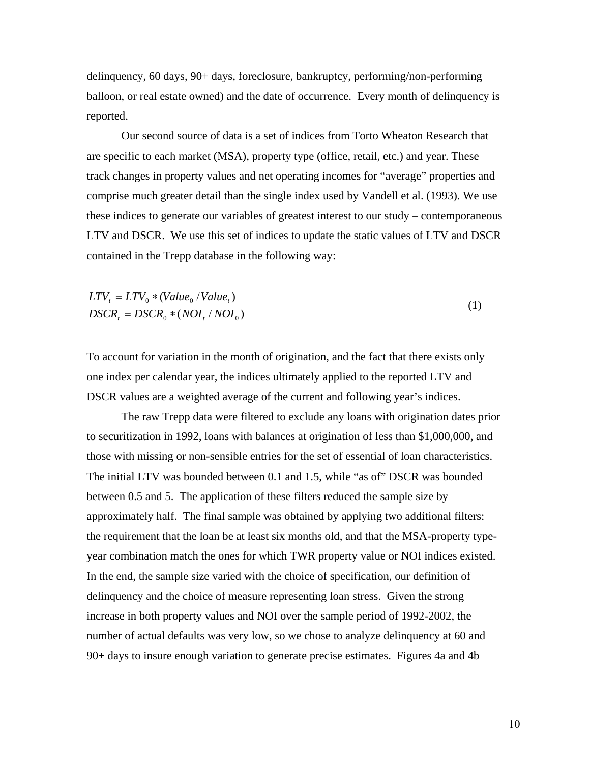delinquency, 60 days, 90+ days, foreclosure, bankruptcy, performing/non-performing balloon, or real estate owned) and the date of occurrence. Every month of delinquency is reported.

Our second source of data is a set of indices from Torto Wheaton Research that are specific to each market (MSA), property type (office, retail, etc.) and year. These track changes in property values and net operating incomes for "average" properties and comprise much greater detail than the single index used by Vandell et al. (1993). We use these indices to generate our variables of greatest interest to our study – contemporaneous LTV and DSCR. We use this set of indices to update the static values of LTV and DSCR contained in the Trepp database in the following way:

 $DSCR_t = DSCR_0 * (NOI_t / NOI_0)$  $LTV_t = LTV_0 * (Value_0 / Value_t)$ (1)

To account for variation in the month of origination, and the fact that there exists only one index per calendar year, the indices ultimately applied to the reported LTV and DSCR values are a weighted average of the current and following year's indices.

The raw Trepp data were filtered to exclude any loans with origination dates prior to securitization in 1992, loans with balances at origination of less than \$1,000,000, and those with missing or non-sensible entries for the set of essential of loan characteristics. The initial LTV was bounded between 0.1 and 1.5, while "as of" DSCR was bounded between 0.5 and 5. The application of these filters reduced the sample size by approximately half. The final sample was obtained by applying two additional filters: the requirement that the loan be at least six months old, and that the MSA-property typeyear combination match the ones for which TWR property value or NOI indices existed. In the end, the sample size varied with the choice of specification, our definition of delinquency and the choice of measure representing loan stress. Given the strong increase in both property values and NOI over the sample period of 1992-2002, the number of actual defaults was very low, so we chose to analyze delinquency at 60 and 90+ days to insure enough variation to generate precise estimates. Figures 4a and 4b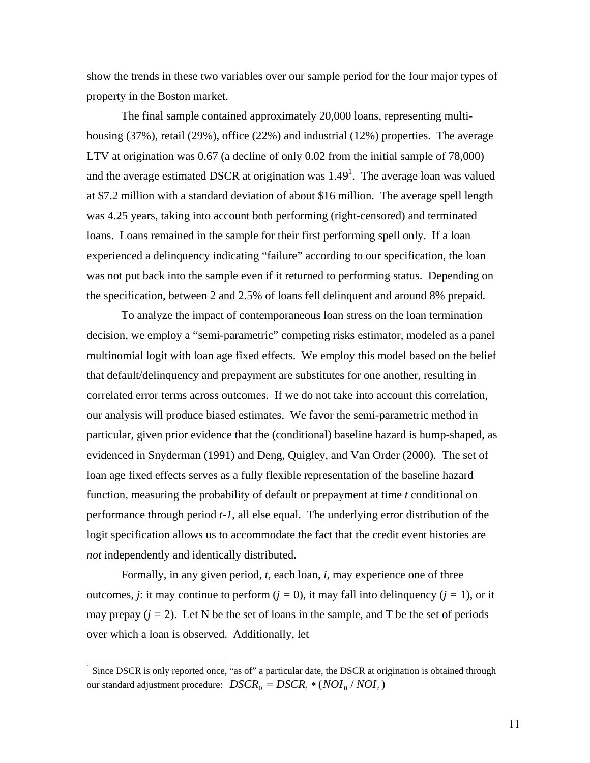show the trends in these two variables over our sample period for the four major types of property in the Boston market.

The final sample contained approximately 20,000 loans, representing multihousing (37%), retail (29%), office (22%) and industrial (12%) properties. The average LTV at origination was 0.67 (a decline of only 0.02 from the initial sample of 78,000) and the average estimated DSCR at origination was  $1.49<sup>1</sup>$ . The average loan was valued at \$7.2 million with a standard deviation of about \$16 million. The average spell length was 4.25 years, taking into account both performing (right-censored) and terminated loans. Loans remained in the sample for their first performing spell only. If a loan experienced a delinquency indicating "failure" according to our specification, the loan was not put back into the sample even if it returned to performing status. Depending on the specification, between 2 and 2.5% of loans fell delinquent and around 8% prepaid.

To analyze the impact of contemporaneous loan stress on the loan termination decision, we employ a "semi-parametric" competing risks estimator, modeled as a panel multinomial logit with loan age fixed effects. We employ this model based on the belief that default/delinquency and prepayment are substitutes for one another, resulting in correlated error terms across outcomes. If we do not take into account this correlation, our analysis will produce biased estimates. We favor the semi-parametric method in particular, given prior evidence that the (conditional) baseline hazard is hump-shaped, as evidenced in Snyderman (1991) and Deng, Quigley, and Van Order (2000). The set of loan age fixed effects serves as a fully flexible representation of the baseline hazard function, measuring the probability of default or prepayment at time *t* conditional on performance through period *t-1*, all else equal. The underlying error distribution of the logit specification allows us to accommodate the fact that the credit event histories are *not* independently and identically distributed.

Formally, in any given period, *t*, each loan, *i*, may experience one of three outcomes, *j*: it may continue to perform  $(j = 0)$ , it may fall into delinquency  $(j = 1)$ , or it may prepay  $(j = 2)$ . Let N be the set of loans in the sample, and T be the set of periods over which a loan is observed. Additionally, let

 $\overline{a}$ 

<sup>&</sup>lt;sup>1</sup> Since DSCR is only reported once, "as of" a particular date, the DSCR at origination is obtained through our standard adjustment procedure:  $DSCR_0 = DSCR_t * (NOI_0 / NOI_t)$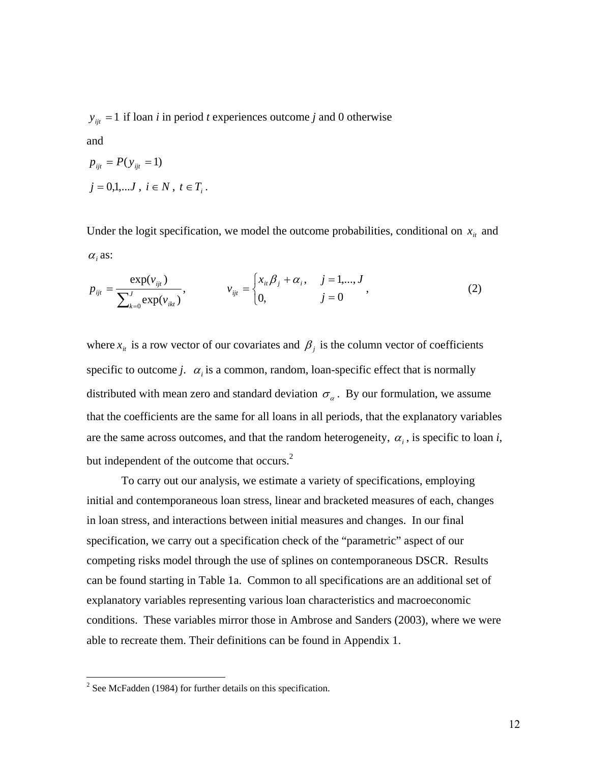$y_{ijt} = 1$  if loan *i* in period *t* experiences outcome *j* and 0 otherwise and

$$
p_{ijt} = P(y_{ijt} = 1)
$$
  

$$
j = 0,1,...J, i \in N, t \in T_i.
$$

Under the logit specification, we model the outcome probabilities, conditional on  $x_{it}$  and  $\alpha$  *i* as:

$$
p_{ijt} = \frac{\exp(v_{ijt})}{\sum_{k=0}^{J} \exp(v_{ikt})}, \qquad v_{ijt} = \begin{cases} x_{it} \beta_j + \alpha_i, & j = 1,...,J \\ 0, & j = 0 \end{cases}, \qquad (2)
$$

where  $x_i$  is a row vector of our covariates and  $\beta_j$  is the column vector of coefficients specific to outcome *j*.  $\alpha_i$  is a common, random, loan-specific effect that is normally distributed with mean zero and standard deviation  $\sigma_{\alpha}$ . By our formulation, we assume that the coefficients are the same for all loans in all periods, that the explanatory variables are the same across outcomes, and that the random heterogeneity,  $\alpha_i$ , is specific to loan *i*, but independent of the outcome that occurs. $2$ 

To carry out our analysis, we estimate a variety of specifications, employing initial and contemporaneous loan stress, linear and bracketed measures of each, changes in loan stress, and interactions between initial measures and changes. In our final specification, we carry out a specification check of the "parametric" aspect of our competing risks model through the use of splines on contemporaneous DSCR. Results can be found starting in Table 1a. Common to all specifications are an additional set of explanatory variables representing various loan characteristics and macroeconomic conditions. These variables mirror those in Ambrose and Sanders (2003), where we were able to recreate them. Their definitions can be found in Appendix 1.

<sup>&</sup>lt;sup>2</sup> See McFadden (1984) for further details on this specification.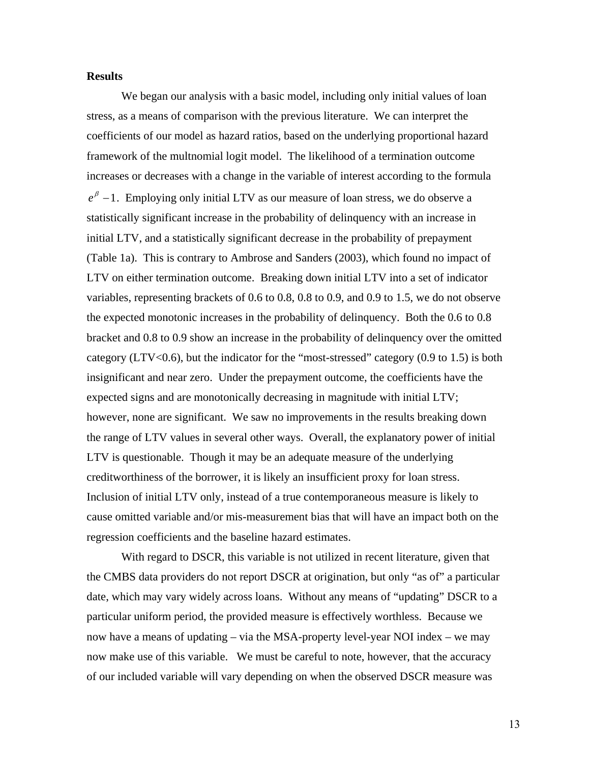#### **Results**

We began our analysis with a basic model, including only initial values of loan stress, as a means of comparison with the previous literature. We can interpret the coefficients of our model as hazard ratios, based on the underlying proportional hazard framework of the multnomial logit model. The likelihood of a termination outcome increases or decreases with a change in the variable of interest according to the formula *e*<sup>β</sup> −1. Employing only initial LTV as our measure of loan stress, we do observe a statistically significant increase in the probability of delinquency with an increase in initial LTV, and a statistically significant decrease in the probability of prepayment (Table 1a). This is contrary to Ambrose and Sanders (2003), which found no impact of LTV on either termination outcome. Breaking down initial LTV into a set of indicator variables, representing brackets of 0.6 to 0.8, 0.8 to 0.9, and 0.9 to 1.5, we do not observe the expected monotonic increases in the probability of delinquency. Both the 0.6 to 0.8 bracket and 0.8 to 0.9 show an increase in the probability of delinquency over the omitted category (LTV<0.6), but the indicator for the "most-stressed" category (0.9 to 1.5) is both insignificant and near zero. Under the prepayment outcome, the coefficients have the expected signs and are monotonically decreasing in magnitude with initial LTV; however, none are significant. We saw no improvements in the results breaking down the range of LTV values in several other ways. Overall, the explanatory power of initial LTV is questionable. Though it may be an adequate measure of the underlying creditworthiness of the borrower, it is likely an insufficient proxy for loan stress. Inclusion of initial LTV only, instead of a true contemporaneous measure is likely to cause omitted variable and/or mis-measurement bias that will have an impact both on the regression coefficients and the baseline hazard estimates.

With regard to DSCR, this variable is not utilized in recent literature, given that the CMBS data providers do not report DSCR at origination, but only "as of" a particular date, which may vary widely across loans. Without any means of "updating" DSCR to a particular uniform period, the provided measure is effectively worthless. Because we now have a means of updating – via the MSA-property level-year NOI index – we may now make use of this variable. We must be careful to note, however, that the accuracy of our included variable will vary depending on when the observed DSCR measure was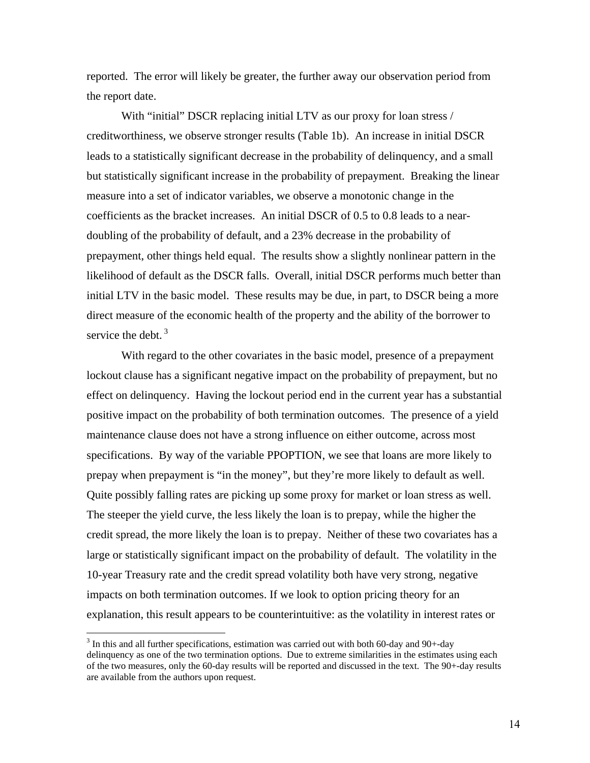reported. The error will likely be greater, the further away our observation period from the report date.

With "initial" DSCR replacing initial LTV as our proxy for loan stress / creditworthiness, we observe stronger results (Table 1b). An increase in initial DSCR leads to a statistically significant decrease in the probability of delinquency, and a small but statistically significant increase in the probability of prepayment. Breaking the linear measure into a set of indicator variables, we observe a monotonic change in the coefficients as the bracket increases. An initial DSCR of 0.5 to 0.8 leads to a neardoubling of the probability of default, and a 23% decrease in the probability of prepayment, other things held equal. The results show a slightly nonlinear pattern in the likelihood of default as the DSCR falls. Overall, initial DSCR performs much better than initial LTV in the basic model. These results may be due, in part, to DSCR being a more direct measure of the economic health of the property and the ability of the borrower to service the debt.  $3<sup>3</sup>$ 

With regard to the other covariates in the basic model, presence of a prepayment lockout clause has a significant negative impact on the probability of prepayment, but no effect on delinquency. Having the lockout period end in the current year has a substantial positive impact on the probability of both termination outcomes. The presence of a yield maintenance clause does not have a strong influence on either outcome, across most specifications. By way of the variable PPOPTION, we see that loans are more likely to prepay when prepayment is "in the money", but they're more likely to default as well. Quite possibly falling rates are picking up some proxy for market or loan stress as well. The steeper the yield curve, the less likely the loan is to prepay, while the higher the credit spread, the more likely the loan is to prepay. Neither of these two covariates has a large or statistically significant impact on the probability of default. The volatility in the 10-year Treasury rate and the credit spread volatility both have very strong, negative impacts on both termination outcomes. If we look to option pricing theory for an explanation, this result appears to be counterintuitive: as the volatility in interest rates or

 $\overline{a}$ 

 $3$  In this and all further specifications, estimation was carried out with both 60-day and 90+-day delinquency as one of the two termination options. Due to extreme similarities in the estimates using each of the two measures, only the 60-day results will be reported and discussed in the text. The 90+-day results are available from the authors upon request.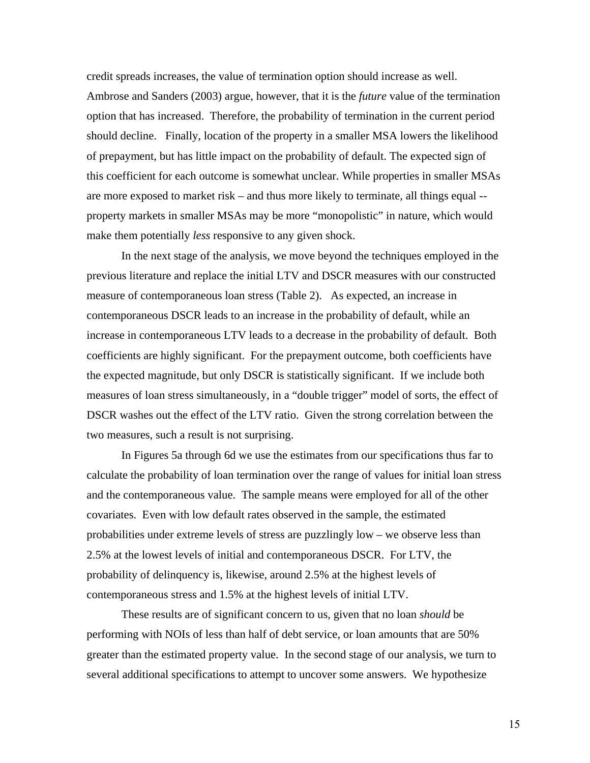credit spreads increases, the value of termination option should increase as well. Ambrose and Sanders (2003) argue, however, that it is the *future* value of the termination option that has increased. Therefore, the probability of termination in the current period should decline. Finally, location of the property in a smaller MSA lowers the likelihood of prepayment, but has little impact on the probability of default. The expected sign of this coefficient for each outcome is somewhat unclear. While properties in smaller MSAs are more exposed to market risk – and thus more likely to terminate, all things equal - property markets in smaller MSAs may be more "monopolistic" in nature, which would make them potentially *less* responsive to any given shock.

In the next stage of the analysis, we move beyond the techniques employed in the previous literature and replace the initial LTV and DSCR measures with our constructed measure of contemporaneous loan stress (Table 2). As expected, an increase in contemporaneous DSCR leads to an increase in the probability of default, while an increase in contemporaneous LTV leads to a decrease in the probability of default. Both coefficients are highly significant. For the prepayment outcome, both coefficients have the expected magnitude, but only DSCR is statistically significant. If we include both measures of loan stress simultaneously, in a "double trigger" model of sorts, the effect of DSCR washes out the effect of the LTV ratio. Given the strong correlation between the two measures, such a result is not surprising.

In Figures 5a through 6d we use the estimates from our specifications thus far to calculate the probability of loan termination over the range of values for initial loan stress and the contemporaneous value. The sample means were employed for all of the other covariates. Even with low default rates observed in the sample, the estimated probabilities under extreme levels of stress are puzzlingly low – we observe less than 2.5% at the lowest levels of initial and contemporaneous DSCR. For LTV, the probability of delinquency is, likewise, around 2.5% at the highest levels of contemporaneous stress and 1.5% at the highest levels of initial LTV.

These results are of significant concern to us, given that no loan *should* be performing with NOIs of less than half of debt service, or loan amounts that are 50% greater than the estimated property value. In the second stage of our analysis, we turn to several additional specifications to attempt to uncover some answers. We hypothesize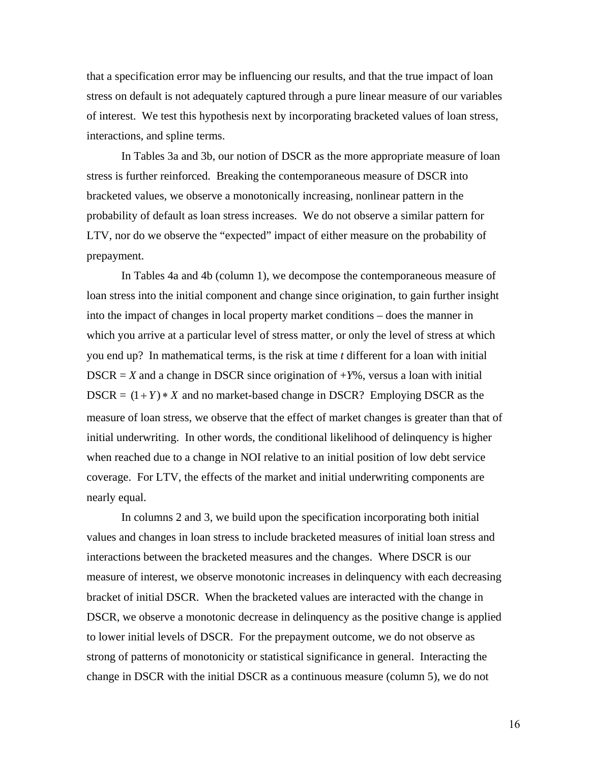that a specification error may be influencing our results, and that the true impact of loan stress on default is not adequately captured through a pure linear measure of our variables of interest. We test this hypothesis next by incorporating bracketed values of loan stress, interactions, and spline terms.

In Tables 3a and 3b, our notion of DSCR as the more appropriate measure of loan stress is further reinforced. Breaking the contemporaneous measure of DSCR into bracketed values, we observe a monotonically increasing, nonlinear pattern in the probability of default as loan stress increases. We do not observe a similar pattern for LTV, nor do we observe the "expected" impact of either measure on the probability of prepayment.

In Tables 4a and 4b (column 1), we decompose the contemporaneous measure of loan stress into the initial component and change since origination, to gain further insight into the impact of changes in local property market conditions – does the manner in which you arrive at a particular level of stress matter, or only the level of stress at which you end up? In mathematical terms, is the risk at time *t* different for a loan with initial  $DSCR = X$  and a change in DSCR since origination of  $+Y\%$ , versus a loan with initial  $DSCR = (1 + Y) * X$  and no market-based change in DSCR? Employing DSCR as the measure of loan stress, we observe that the effect of market changes is greater than that of initial underwriting. In other words, the conditional likelihood of delinquency is higher when reached due to a change in NOI relative to an initial position of low debt service coverage. For LTV, the effects of the market and initial underwriting components are nearly equal.

In columns 2 and 3, we build upon the specification incorporating both initial values and changes in loan stress to include bracketed measures of initial loan stress and interactions between the bracketed measures and the changes. Where DSCR is our measure of interest, we observe monotonic increases in delinquency with each decreasing bracket of initial DSCR. When the bracketed values are interacted with the change in DSCR, we observe a monotonic decrease in delinquency as the positive change is applied to lower initial levels of DSCR. For the prepayment outcome, we do not observe as strong of patterns of monotonicity or statistical significance in general. Interacting the change in DSCR with the initial DSCR as a continuous measure (column 5), we do not

16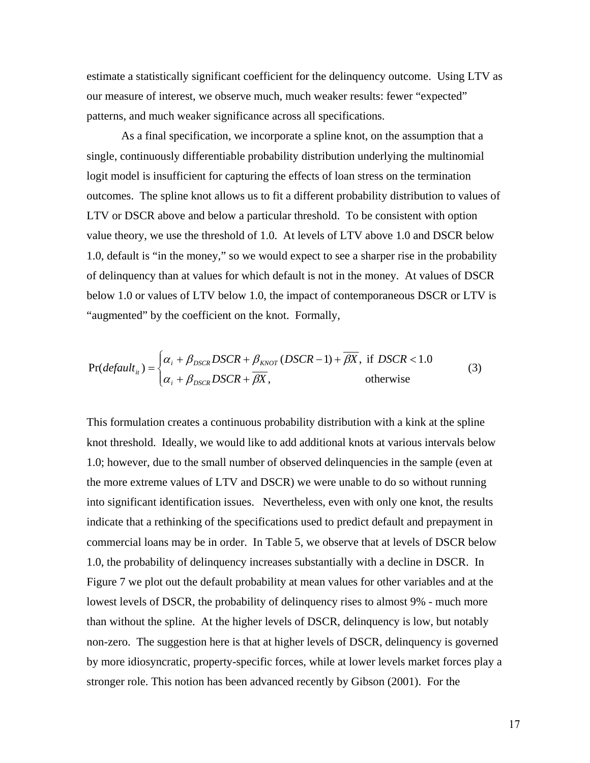estimate a statistically significant coefficient for the delinquency outcome. Using LTV as our measure of interest, we observe much, much weaker results: fewer "expected" patterns, and much weaker significance across all specifications.

As a final specification, we incorporate a spline knot, on the assumption that a single, continuously differentiable probability distribution underlying the multinomial logit model is insufficient for capturing the effects of loan stress on the termination outcomes. The spline knot allows us to fit a different probability distribution to values of LTV or DSCR above and below a particular threshold. To be consistent with option value theory, we use the threshold of 1.0. At levels of LTV above 1.0 and DSCR below 1.0, default is "in the money," so we would expect to see a sharper rise in the probability of delinquency than at values for which default is not in the money. At values of DSCR below 1.0 or values of LTV below 1.0, the impact of contemporaneous DSCR or LTV is "augmented" by the coefficient on the knot. Formally,

$$
Pr(default_{it}) = \begin{cases} \alpha_i + \beta_{DSCR} DSCR + \beta_{ENOT} (DSCR - 1) + \overline{\beta X}, & \text{if } DSCR < 1.0\\ \alpha_i + \beta_{DSCR} DSCR + \overline{\beta X}, & \text{otherwise} \end{cases}
$$
(3)

This formulation creates a continuous probability distribution with a kink at the spline knot threshold. Ideally, we would like to add additional knots at various intervals below 1.0; however, due to the small number of observed delinquencies in the sample (even at the more extreme values of LTV and DSCR) we were unable to do so without running into significant identification issues. Nevertheless, even with only one knot, the results indicate that a rethinking of the specifications used to predict default and prepayment in commercial loans may be in order. In Table 5, we observe that at levels of DSCR below 1.0, the probability of delinquency increases substantially with a decline in DSCR. In Figure 7 we plot out the default probability at mean values for other variables and at the lowest levels of DSCR, the probability of delinquency rises to almost 9% - much more than without the spline. At the higher levels of DSCR, delinquency is low, but notably non-zero. The suggestion here is that at higher levels of DSCR, delinquency is governed by more idiosyncratic, property-specific forces, while at lower levels market forces play a stronger role. This notion has been advanced recently by Gibson (2001). For the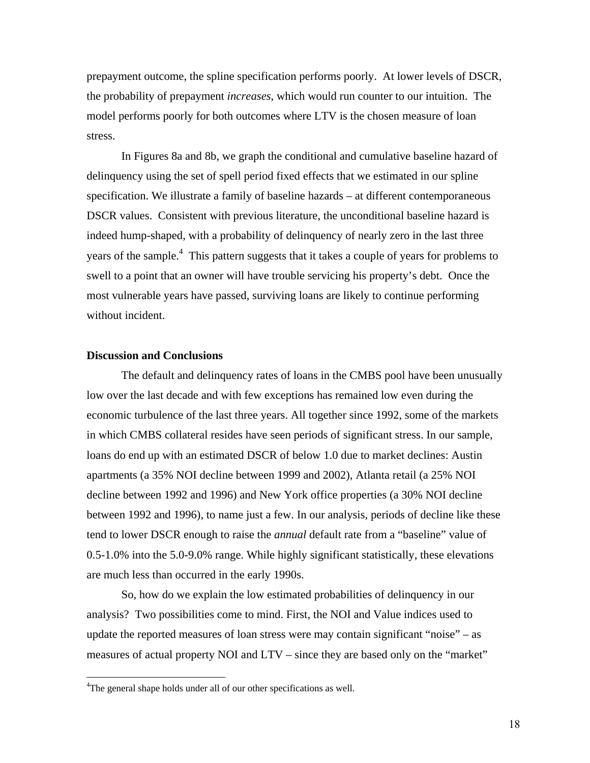prepayment outcome, the spline specification performs poorly. At lower levels of DSCR, the probability of prepayment *increases*, which would run counter to our intuition. The model performs poorly for both outcomes where LTV is the chosen measure of loan stress.

In Figures 8a and 8b, we graph the conditional and cumulative baseline hazard of delinquency using the set of spell period fixed effects that we estimated in our spline specification. We illustrate a family of baseline hazards – at different contemporaneous DSCR values. Consistent with previous literature, the unconditional baseline hazard is indeed hump-shaped, with a probability of delinquency of nearly zero in the last three years of the sample.<sup>4</sup> This pattern suggests that it takes a couple of years for problems to swell to a point that an owner will have trouble servicing his property's debt. Once the most vulnerable years have passed, surviving loans are likely to continue performing without incident.

### **Discussion and Conclusions**

 $\overline{a}$ 

The default and delinquency rates of loans in the CMBS pool have been unusually low over the last decade and with few exceptions has remained low even during the economic turbulence of the last three years. All together since 1992, some of the markets in which CMBS collateral resides have seen periods of significant stress. In our sample, loans do end up with an estimated DSCR of below 1.0 due to market declines: Austin apartments (a 35% NOI decline between 1999 and 2002), Atlanta retail (a 25% NOI decline between 1992 and 1996) and New York office properties (a 30% NOI decline between 1992 and 1996), to name just a few. In our analysis, periods of decline like these tend to lower DSCR enough to raise the *annual* default rate from a "baseline" value of 0.5-1.0% into the 5.0-9.0% range. While highly significant statistically, these elevations are much less than occurred in the early 1990s.

 So, how do we explain the low estimated probabilities of delinquency in our analysis? Two possibilities come to mind. First, the NOI and Value indices used to update the reported measures of loan stress were may contain significant "noise" – as measures of actual property NOI and LTV – since they are based only on the "market"

<sup>&</sup>lt;sup>4</sup>The general shape holds under all of our other specifications as well.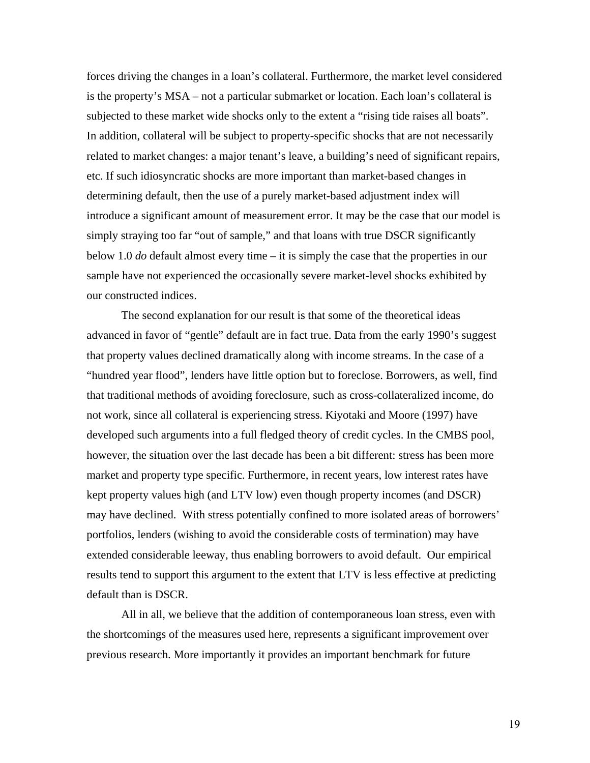forces driving the changes in a loan's collateral. Furthermore, the market level considered is the property's MSA – not a particular submarket or location. Each loan's collateral is subjected to these market wide shocks only to the extent a "rising tide raises all boats". In addition, collateral will be subject to property-specific shocks that are not necessarily related to market changes: a major tenant's leave, a building's need of significant repairs, etc. If such idiosyncratic shocks are more important than market-based changes in determining default, then the use of a purely market-based adjustment index will introduce a significant amount of measurement error. It may be the case that our model is simply straying too far "out of sample," and that loans with true DSCR significantly below 1.0 *do* default almost every time – it is simply the case that the properties in our sample have not experienced the occasionally severe market-level shocks exhibited by our constructed indices.

The second explanation for our result is that some of the theoretical ideas advanced in favor of "gentle" default are in fact true. Data from the early 1990's suggest that property values declined dramatically along with income streams. In the case of a "hundred year flood", lenders have little option but to foreclose. Borrowers, as well, find that traditional methods of avoiding foreclosure, such as cross-collateralized income, do not work, since all collateral is experiencing stress. Kiyotaki and Moore (1997) have developed such arguments into a full fledged theory of credit cycles. In the CMBS pool, however, the situation over the last decade has been a bit different: stress has been more market and property type specific. Furthermore, in recent years, low interest rates have kept property values high (and LTV low) even though property incomes (and DSCR) may have declined. With stress potentially confined to more isolated areas of borrowers' portfolios, lenders (wishing to avoid the considerable costs of termination) may have extended considerable leeway, thus enabling borrowers to avoid default. Our empirical results tend to support this argument to the extent that LTV is less effective at predicting default than is DSCR.

All in all, we believe that the addition of contemporaneous loan stress, even with the shortcomings of the measures used here, represents a significant improvement over previous research. More importantly it provides an important benchmark for future

19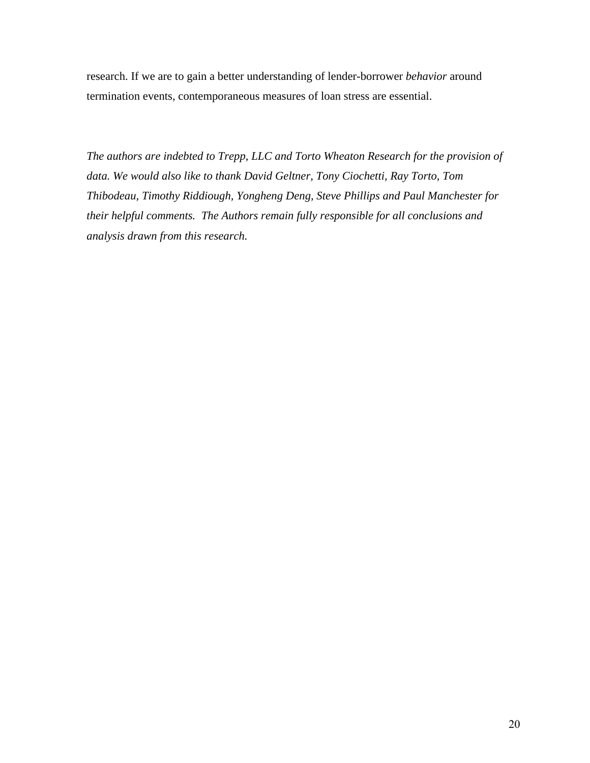research. If we are to gain a better understanding of lender-borrower *behavior* around termination events, contemporaneous measures of loan stress are essential.

*The authors are indebted to Trepp, LLC and Torto Wheaton Research for the provision of data. We would also like to thank David Geltner, Tony Ciochetti, Ray Torto, Tom Thibodeau, Timothy Riddiough, Yongheng Deng, Steve Phillips and Paul Manchester for their helpful comments. The Authors remain fully responsible for all conclusions and analysis drawn from this research.*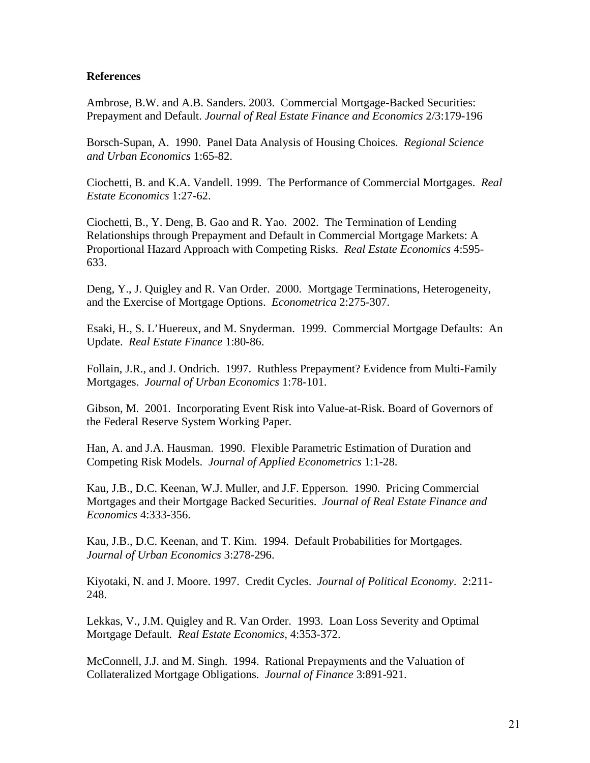# **References**

Ambrose, B.W. and A.B. Sanders. 2003. Commercial Mortgage-Backed Securities: Prepayment and Default. *Journal of Real Estate Finance and Economics* 2/3:179-196

Borsch-Supan, A. 1990. Panel Data Analysis of Housing Choices. *Regional Science and Urban Economics* 1:65-82.

Ciochetti, B. and K.A. Vandell. 1999. The Performance of Commercial Mortgages. *Real Estate Economics* 1:27-62.

Ciochetti, B., Y. Deng, B. Gao and R. Yao. 2002. The Termination of Lending Relationships through Prepayment and Default in Commercial Mortgage Markets: A Proportional Hazard Approach with Competing Risks. *Real Estate Economics* 4:595- 633.

Deng, Y., J. Quigley and R. Van Order. 2000. Mortgage Terminations, Heterogeneity, and the Exercise of Mortgage Options. *Econometrica* 2:275-307.

Esaki, H., S. L'Huereux, and M. Snyderman. 1999. Commercial Mortgage Defaults: An Update. *Real Estate Finance* 1:80-86.

Follain, J.R., and J. Ondrich. 1997. Ruthless Prepayment? Evidence from Multi-Family Mortgages. *Journal of Urban Economics* 1:78-101.

Gibson, M. 2001. Incorporating Event Risk into Value-at-Risk. Board of Governors of the Federal Reserve System Working Paper.

Han, A. and J.A. Hausman. 1990. Flexible Parametric Estimation of Duration and Competing Risk Models. *Journal of Applied Econometrics* 1:1-28.

Kau, J.B., D.C. Keenan, W.J. Muller, and J.F. Epperson. 1990. Pricing Commercial Mortgages and their Mortgage Backed Securities. *Journal of Real Estate Finance and Economics* 4:333-356.

Kau, J.B., D.C. Keenan, and T. Kim. 1994. Default Probabilities for Mortgages. *Journal of Urban Economics* 3:278-296.

Kiyotaki, N. and J. Moore. 1997. Credit Cycles. *Journal of Political Economy*. 2:211- 248.

Lekkas, V., J.M. Quigley and R. Van Order. 1993. Loan Loss Severity and Optimal Mortgage Default. *Real Estate Economics,* 4:353-372.

McConnell, J.J. and M. Singh. 1994. Rational Prepayments and the Valuation of Collateralized Mortgage Obligations. *Journal of Finance* 3:891-921.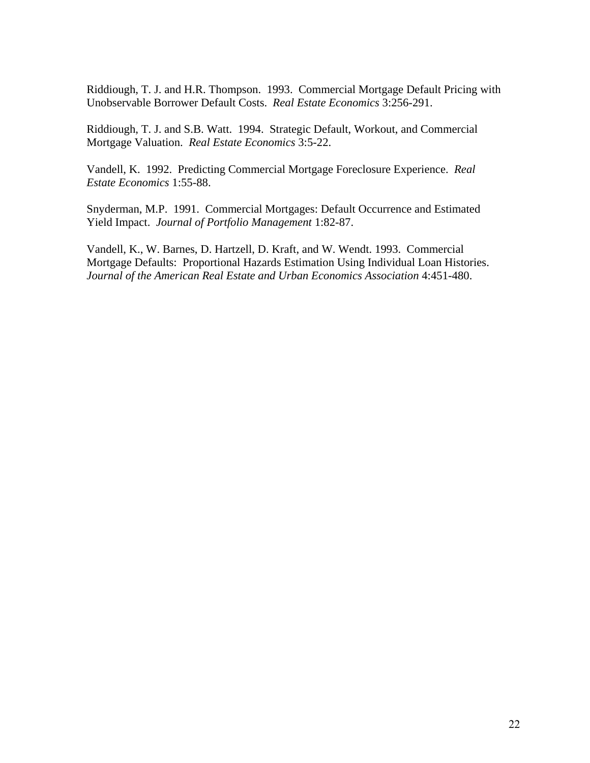Riddiough, T. J. and H.R. Thompson. 1993. Commercial Mortgage Default Pricing with Unobservable Borrower Default Costs. *Real Estate Economics* 3:256-291.

Riddiough, T. J. and S.B. Watt. 1994. Strategic Default, Workout, and Commercial Mortgage Valuation. *Real Estate Economics* 3:5-22.

Vandell, K. 1992. Predicting Commercial Mortgage Foreclosure Experience. *Real Estate Economics* 1:55-88.

Snyderman, M.P. 1991. Commercial Mortgages: Default Occurrence and Estimated Yield Impact. *Journal of Portfolio Management* 1:82-87.

Vandell, K., W. Barnes, D. Hartzell, D. Kraft, and W. Wendt. 1993. Commercial Mortgage Defaults: Proportional Hazards Estimation Using Individual Loan Histories. *Journal of the American Real Estate and Urban Economics Association* 4:451-480.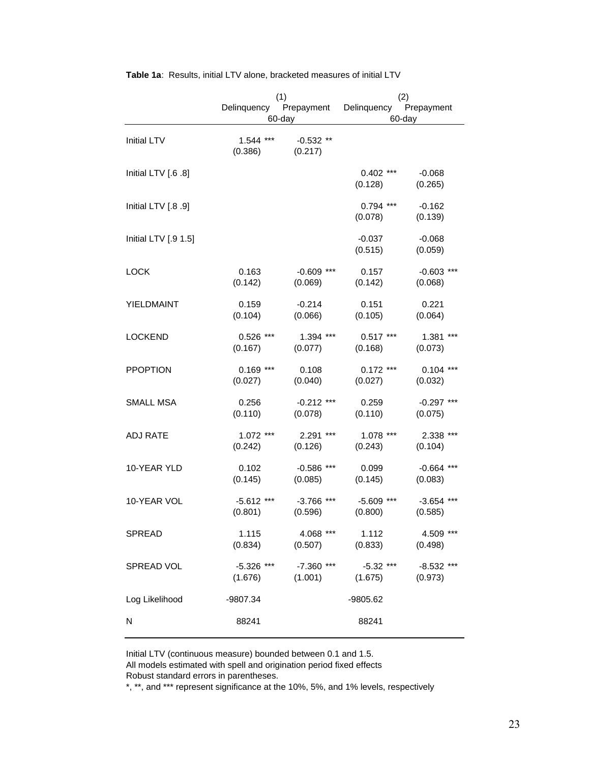|                      | (1)                    |                        | (2)                    |                     |
|----------------------|------------------------|------------------------|------------------------|---------------------|
|                      | Delinquency            | Prepayment             | Delinquency            | Prepayment          |
|                      | 60-day                 |                        | 60-day                 |                     |
| <b>Initial LTV</b>   | $1.544$ ***<br>(0.386) | $-0.532$ **<br>(0.217) |                        |                     |
| Initial LTV [.6 .8]  |                        |                        | $0.402$ ***<br>(0.128) | $-0.068$<br>(0.265) |
| Initial LTV [.8 .9]  |                        |                        | $0.794$ ***<br>(0.078) | $-0.162$<br>(0.139) |
| Initial LTV [.9 1.5] |                        |                        | $-0.037$<br>(0.515)    | $-0.068$<br>(0.059) |
| <b>LOCK</b>          | 0.163                  | $-0.609$ ***           | 0.157                  | $-0.603$ ***        |
|                      | (0.142)                | (0.069)                | (0.142)                | (0.068)             |
| <b>YIELDMAINT</b>    | 0.159                  | $-0.214$               | 0.151                  | 0.221               |
|                      | (0.104)                | (0.066)                | (0.105)                | (0.064)             |
| <b>LOCKEND</b>       | $0.526$ ***            | $1.394$ ***            | $0.517$ ***            | 1.381 ***           |
|                      | (0.167)                | (0.077)                | (0.168)                | (0.073)             |
| <b>PPOPTION</b>      | $0.169$ ***            | 0.108                  | $0.172$ ***            | $0.104$ ***         |
|                      | (0.027)                | (0.040)                | (0.027)                | (0.032)             |
| SMALL MSA            | 0.256                  | $-0.212$ ***           | 0.259                  | $-0.297$ ***        |
|                      | (0.110)                | (0.078)                | (0.110)                | (0.075)             |
| <b>ADJ RATE</b>      | $1.072$ ***            | 2.291 ***              | $1.078$ ***            | 2.338 ***           |
|                      | (0.242)                | (0.126)                | (0.243)                | (0.104)             |
| 10-YEAR YLD          | 0.102                  | $-0.586$ ***           | 0.099                  | $-0.664$ ***        |
|                      | (0.145)                | (0.085)                | (0.145)                | (0.083)             |
| 10-YEAR VOL          | $-5.612$ ***           | $-3.766$ ***           | $-5.609$ ***           | $-3.654$ ***        |
|                      | (0.801)                | (0.596)                | (0.800)                | (0.585)             |
| <b>SPREAD</b>        | 1.115                  | 4.068 ***              | 1.112                  | 4.509 ***           |
|                      | (0.834)                | (0.507)                | (0.833)                | (0.498)             |
| SPREAD VOL           | $-5.326$ ***           | $-7.360$ ***           | $-5.32$ ***            | $-8.532$ ***        |
|                      | (1.676)                | (1.001)                | (1.675)                | (0.973)             |
| Log Likelihood       | $-9807.34$             |                        | $-9805.62$             |                     |
| N                    | 88241                  |                        | 88241                  |                     |

**Table 1a**: Results, initial LTV alone, bracketed measures of initial LTV

Initial LTV (continuous measure) bounded between 0.1 and 1.5. All models estimated with spell and origination period fixed effects Robust standard errors in parentheses.

\*, \*\*, and \*\*\* represent significance at the 10%, 5%, and 1% levels, respectively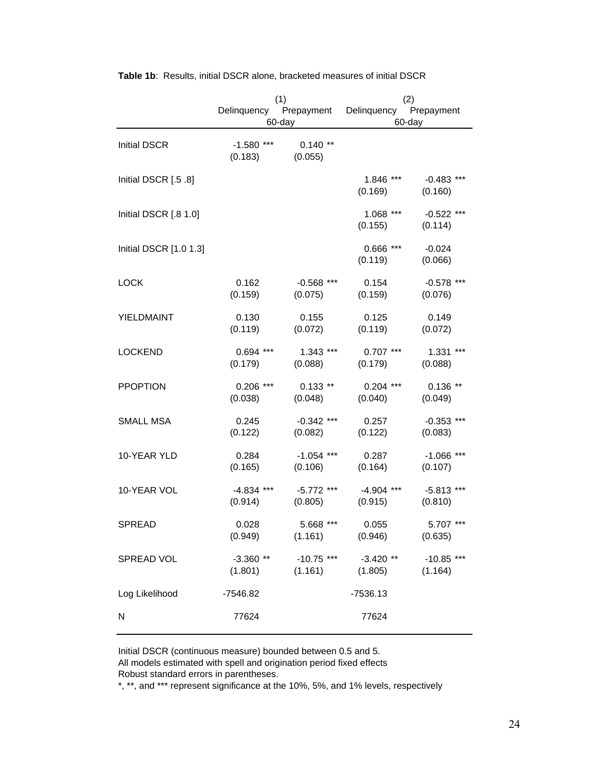|                        | (1)                     |                         | (2)                                                                        |                         |
|------------------------|-------------------------|-------------------------|----------------------------------------------------------------------------|-------------------------|
|                        | Delinquency<br>60-day   |                         | Prepayment Delinquency<br>60-day                                           | Prepayment              |
| <b>Initial DSCR</b>    | $-1.580$ ***<br>(0.183) | $0.140**$<br>(0.055)    |                                                                            |                         |
| [8. Initial DSCR [.5]  |                         |                         | 1.846 ***<br>(0.169)                                                       | $-0.483$ ***<br>(0.160) |
| Initial DSCR [.8 1.0]  |                         |                         | $1.068$ ***<br>(0.155)                                                     | $-0.522$ ***<br>(0.114) |
| Initial DSCR [1.0 1.3] |                         |                         | $0.666$ ***<br>(0.119)                                                     | $-0.024$<br>(0.066)     |
| <b>LOCK</b>            | 0.162<br>(0.159)        | $-0.568$ ***<br>(0.075) | 0.154<br>(0.159)                                                           | $-0.578$ ***<br>(0.076) |
| <b>YIELDMAINT</b>      | 0.130<br>(0.119)        | 0.155<br>(0.072)        | 0.125<br>(0.119)                                                           | 0.149<br>(0.072)        |
| <b>LOCKEND</b>         | $0.694$ ***<br>(0.179)  | $1.343$ ***<br>(0.088)  | $0.707$ ***<br>(0.179)                                                     | $1.331***$<br>(0.088)   |
| <b>PPOPTION</b>        | $0.206$ ***<br>(0.038)  | $0.133**$<br>(0.048)    | $0.204$ ***<br>(0.040)                                                     | $0.136**$<br>(0.049)    |
| <b>SMALL MSA</b>       | 0.245<br>(0.122)        | $-0.342$ ***<br>(0.082) | 0.257<br>(0.122)                                                           | $-0.353$ ***<br>(0.083) |
| 10-YEAR YLD            | 0.284<br>(0.165)        | $-1.054$ ***<br>(0.106) | 0.287<br>(0.164)                                                           | $-1.066$ ***<br>(0.107) |
| 10-YEAR VOL            | $-4.834$ ***<br>(0.914) | $-5.772$ ***<br>(0.805) | $-4.904$ ***<br>(0.915)                                                    | $-5.813$ ***<br>(0.810) |
| <b>SPREAD</b>          | 0.028                   | $5.668$ ***             | 0.055<br>$(0.949)$ $(1.161)$ $(0.946)$                                     | $5.707$ ***<br>(0.635)  |
| SPREAD VOL             |                         |                         | -3.360 ** -10.75 *** -3.420 ** -10.85 ***<br>$(1.801)$ $(1.161)$ $(1.805)$ | (1.164)                 |
| Log Likelihood         | $-7546.82$              |                         | $-7536.13$                                                                 |                         |
| N                      | 77624                   |                         | 77624                                                                      |                         |

**Table 1b**: Results, initial DSCR alone, bracketed measures of initial DSCR

Initial DSCR (continuous measure) bounded between 0.5 and 5. All models estimated with spell and origination period fixed effects Robust standard errors in parentheses.

\*, \*\*, and \*\*\* represent significance at the 10%, 5%, and 1% levels, respectively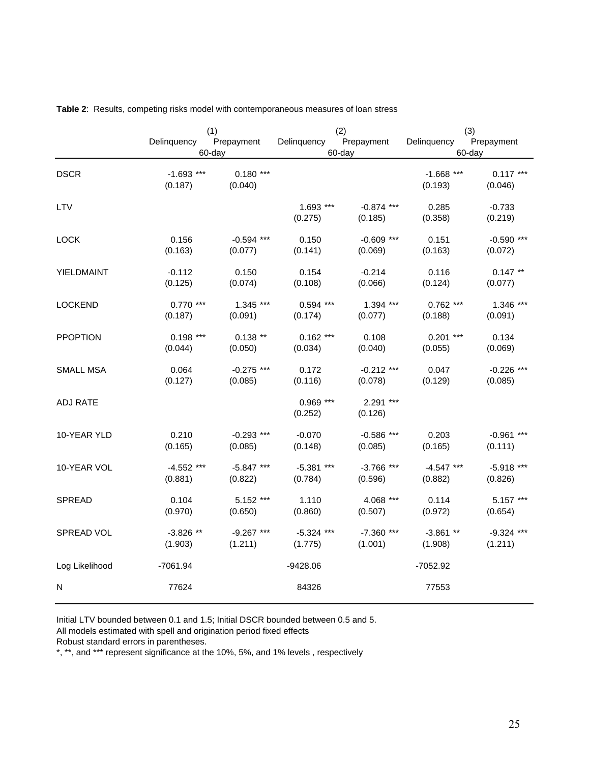|                   | (1)<br>Delinquency<br>60-day | Prepayment            | (2)<br>Delinquency<br>60-day | Prepayment              | (3)<br>Delinquency<br>60-day | Prepayment             |
|-------------------|------------------------------|-----------------------|------------------------------|-------------------------|------------------------------|------------------------|
| <b>DSCR</b>       | $-1.693$ ***<br>(0.187)      | $0.180***$<br>(0.040) |                              |                         | $-1.668$ ***<br>(0.193)      | $0.117$ ***<br>(0.046) |
| LTV               |                              |                       | $1.693$ ***<br>(0.275)       | $-0.874$ ***<br>(0.185) | 0.285<br>(0.358)             | $-0.733$<br>(0.219)    |
| <b>LOCK</b>       | 0.156                        | $-0.594$ ***          | 0.150                        | $-0.609$ ***            | 0.151                        | $-0.590$ ***           |
|                   | (0.163)                      | (0.077)               | (0.141)                      | (0.069)                 | (0.163)                      | (0.072)                |
| <b>YIELDMAINT</b> | $-0.112$                     | 0.150                 | 0.154                        | $-0.214$                | 0.116                        | $0.147**$              |
|                   | (0.125)                      | (0.074)               | (0.108)                      | (0.066)                 | (0.124)                      | (0.077)                |
| <b>LOCKEND</b>    | $0.770$ ***                  | $1.345$ ***           | $0.594$ ***                  | $1.394$ ***             | $0.762$ ***                  | $1.346$ ***            |
|                   | (0.187)                      | (0.091)               | (0.174)                      | (0.077)                 | (0.188)                      | (0.091)                |
| <b>PPOPTION</b>   | $0.198$ ***                  | $0.138**$             | $0.162$ ***                  | 0.108                   | $0.201$ ***                  | 0.134                  |
|                   | (0.044)                      | (0.050)               | (0.034)                      | (0.040)                 | (0.055)                      | (0.069)                |
| <b>SMALL MSA</b>  | 0.064                        | $-0.275$ ***          | 0.172                        | $-0.212$ ***            | 0.047                        | $-0.226$ ***           |
|                   | (0.127)                      | (0.085)               | (0.116)                      | (0.078)                 | (0.129)                      | (0.085)                |
| <b>ADJ RATE</b>   |                              |                       | $0.969$ ***<br>(0.252)       | 2.291 ***<br>(0.126)    |                              |                        |
| 10-YEAR YLD       | 0.210                        | $-0.293$ ***          | $-0.070$                     | $-0.586$ ***            | 0.203                        | $-0.961$ ***           |
|                   | (0.165)                      | (0.085)               | (0.148)                      | (0.085)                 | (0.165)                      | (0.111)                |
| 10-YEAR VOL       | $-4.552$ ***                 | $-5.847$ ***          | $-5.381$ ***                 | $-3.766$ ***            | $-4.547$ ***                 | $-5.918$ ***           |
|                   | (0.881)                      | (0.822)               | (0.784)                      | (0.596)                 | (0.882)                      | (0.826)                |
| <b>SPREAD</b>     | 0.104                        | $5.152$ ***           | 1.110                        | 4.068 ***               | 0.114                        | $5.157$ ***            |
|                   | (0.970)                      | (0.650)               | (0.860)                      | (0.507)                 | (0.972)                      | (0.654)                |
| <b>SPREAD VOL</b> | $-3.826$ **                  | $-9.267$ ***          | $-5.324$ ***                 | $-7.360$ ***            | $-3.861$ **                  | $-9.324$ ***           |
|                   | (1.903)                      | (1.211)               | (1.775)                      | (1.001)                 | (1.908)                      | (1.211)                |
| Log Likelihood    | $-7061.94$                   |                       | $-9428.06$                   |                         | $-7052.92$                   |                        |
| N                 | 77624                        |                       | 84326                        |                         | 77553                        |                        |

**Table 2**: Results, competing risks model with contemporaneous measures of loan stress

Initial LTV bounded between 0.1 and 1.5; Initial DSCR bounded between 0.5 and 5. All models estimated with spell and origination period fixed effects

Robust standard errors in parentheses.

\*, \*\*, and \*\*\* represent significance at the 10%, 5%, and 1% levels, respectively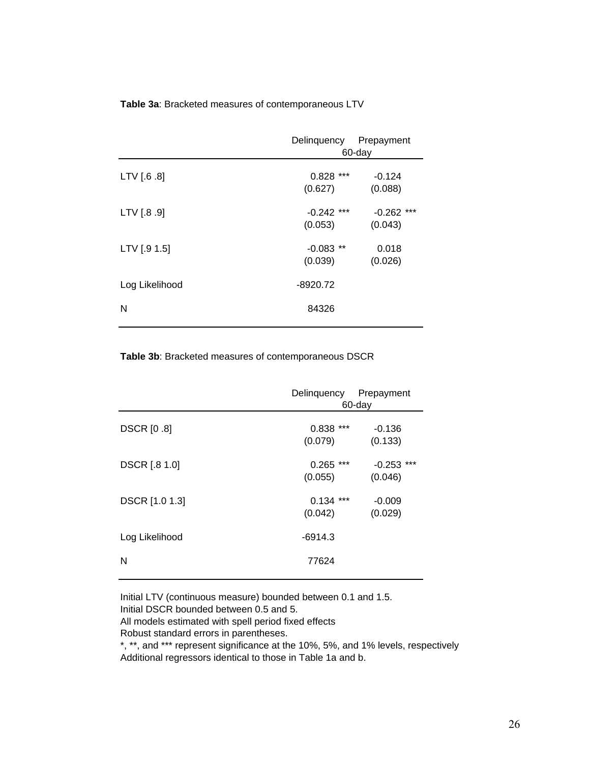**Table 3a**: Bracketed measures of contemporaneous LTV

|                | Delinquency             | Prepayment<br>60-day    |
|----------------|-------------------------|-------------------------|
| LTV [.6 .8]    | $0.828$ ***<br>(0.627)  | $-0.124$<br>(0.088)     |
| LTV [.8 .9]    | $-0.242$ ***<br>(0.053) | $-0.262$ ***<br>(0.043) |
| LTV [.9 1.5]   | $-0.083$ **<br>(0.039)  | 0.018<br>(0.026)        |
| Log Likelihood | $-8920.72$              |                         |
| Ν              | 84326                   |                         |

**Table 3b**: Bracketed measures of contemporaneous DSCR

|                   | Delinquency            | Prepayment<br>60-day         |
|-------------------|------------------------|------------------------------|
| <b>DSCR [0.8]</b> | $0.838$ ***<br>(0.079) | $-0.136$<br>(0.133)          |
| DSCR [.8 1.0]     | $0.265$ ***<br>(0.055) | $***$<br>$-0.253$<br>(0.046) |
| DSCR [1.0 1.3]    | $0.134$ ***<br>(0.042) | $-0.009$<br>(0.029)          |
| Log Likelihood    | $-6914.3$              |                              |
| N                 | 77624                  |                              |

Initial LTV (continuous measure) bounded between 0.1 and 1.5.

Initial DSCR bounded between 0.5 and 5.

All models estimated with spell period fixed effects

Robust standard errors in parentheses.

\*, \*\*, and \*\*\* represent significance at the 10%, 5%, and 1% levels, respectively Additional regressors identical to those in Table 1a and b.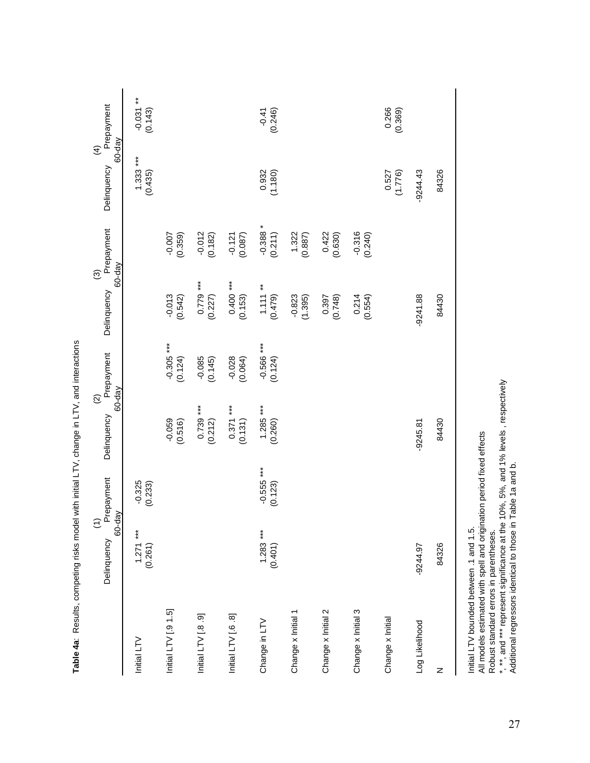|                        | 60-day<br>Delinquency | (1)<br>Prepayment      | Delinquency           | Prepayment<br>60-day<br>$\widehat{\infty}$ | Delinquency           | Prepayment<br>60-day<br>$\widehat{\mathcal{C}}$ | $60 - day$<br>$\widehat{\mathcal{F}}$<br>Delinquency | Prepayment             |
|------------------------|-----------------------|------------------------|-----------------------|--------------------------------------------|-----------------------|-------------------------------------------------|------------------------------------------------------|------------------------|
| Initial LTV            | $1.271***$<br>(0.261) | $-0.325$<br>(0.233)    |                       |                                            |                       |                                                 | $1.333***$<br>(0.435)                                | $-0.031$ **<br>(0.143) |
| Initial LTV $[.9 1.5]$ |                       |                        | $-0.059$<br>$(0.516)$ | $-0.305$ ***<br>(0.124)                    | $-0.013$<br>(0.542)   | (6.350)                                         |                                                      |                        |
| Initial $LTV$ [.8.9]   |                       |                        | $0.739***$<br>(0.212) | $-0.085$<br>$(0.145)$                      | $0.779***$<br>(0.227) | $-0.012$<br>(0.182)                             |                                                      |                        |
| Initial LTV [.6.8]     |                       |                        | $0.371***$<br>(0.131) | $-0.028$<br>(0.064)                        | $0.400***$<br>(0.153) | $-0.121$<br>(0.087)                             |                                                      |                        |
| Change in LTV          | $1.283***$<br>(0.401) | $-0.555***$<br>(0.123) | $1.285***$<br>(0.260) | $-0.566***$<br>(0.124)                     | $1.111**$<br>(0.479)  | $-0.388$ *<br>(0.211)                           | 0.932<br>(1.180)                                     | $-0.41$<br>(0.246)     |
| Change x Initial 1     |                       |                        |                       |                                            | $-0.823$<br>(1.395)   | 1.322<br>(0.887)                                |                                                      |                        |
| Change x Initial 2     |                       |                        |                       |                                            | 0.397<br>(0.748)      | 0.422<br>(0.630)                                |                                                      |                        |
| Change x Initial 3     |                       |                        |                       |                                            | 0.214<br>(0.554)      | $-0.316$<br>(0.240)                             |                                                      |                        |
| Change x Initial       |                       |                        |                       |                                            |                       |                                                 | 0.527<br>(1.776)                                     | 0.266<br>(0.369)       |
| Log Likelihood         | -9244.97              |                        | $-9245.81$            |                                            | $-9241.88$            |                                                 | $-9244.43$                                           |                        |
| z                      | 84326                 |                        | 84430                 |                                            | 84430                 |                                                 | 84326                                                |                        |
|                        |                       |                        |                       |                                            |                       |                                                 |                                                      |                        |

Table 4a: Results, competing risks model with initial LTV, change in LTV, and interactions **Table 4a**: Results, competing risks model with initial LTV, change in LTV, and interactions

Initial LTV bounded between .1 and 1.5.

All models estimated with spell and origination period fixed effects

Robust standard errors in parentheses.

Initial LTV bounded between .1 and 1.5.<br>All models estimated with spell and origination period fixed effects<br>Robust standard errors in parentheses.<br>\*, \*\*, and \*\*\* represent significance at the 10%, 5%, and 1% levels , resp \*, \*\*, and \*\*\* represent significance at the 10%, 5%, and 1% levels , respectively

Additional regressors identical to those in Table 1a and b.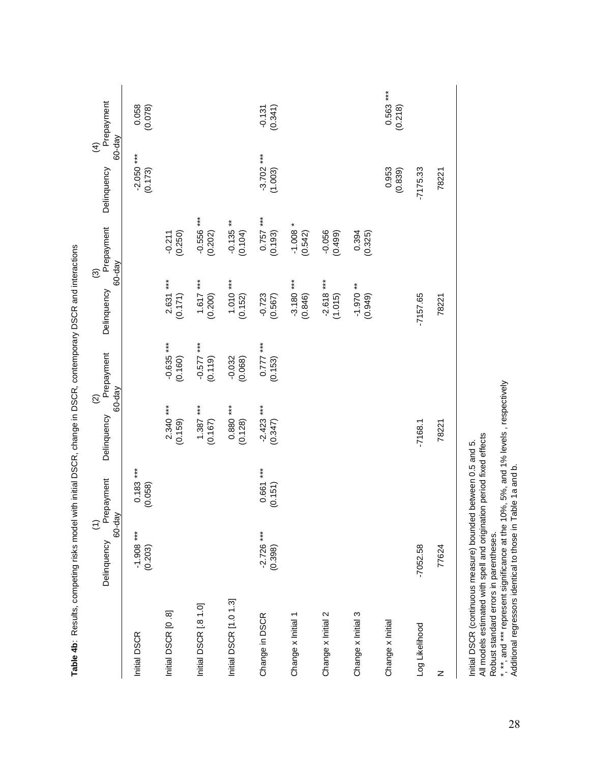|                       | $60 - day$<br>Delinquency | (1)<br>Prepayment        | Delinquency             | Prepayment<br>60-day<br>$\widehat{\infty}$ | 60-day<br>$\odot$<br>Delinquency | Prepayment              | Delinquency             | Prepayment<br>$60 - day$<br>$\widehat{f}$ |            |
|-----------------------|---------------------------|--------------------------|-------------------------|--------------------------------------------|----------------------------------|-------------------------|-------------------------|-------------------------------------------|------------|
| Initial DSCR          | $-1.908$ ***<br>(0.203)   | $0.183***$<br>(0.058)    |                         |                                            |                                  |                         | $-2.050***$<br>(0.173)  | (0.058)                                   |            |
| Initial DSCR [0.8]    |                           |                          | $2.340***$<br>(0.159)   | $-0.635$ ***<br>(0.160)                    | $2.631***$<br>(0.171)            | $-0.211$<br>(0.250)     |                         |                                           |            |
| Initial DSCR [.8 1.0] |                           |                          | $1.387***$<br>(0.167)   | $-0.577$ ***<br>(0.119)                    | $1.617***$<br>(0.200)            | $-0.556$ ***<br>(0.202) |                         |                                           |            |
| Initial DSCR [1.01.3] |                           |                          | $0.880***$<br>(0.128)   | $-0.032$<br>(0.068)                        | $1.010***$<br>(0.152)            | $-0.135$ **<br>(0.104)  |                         |                                           |            |
| Change in DSCR        | $-2.726$ ***<br>(0.398)   | $0.661$ ***<br>$(0.151)$ | $-2.423$ ***<br>(0.347) | $0.777***$<br>(0.153)                      | $-0.723$<br>(0.567)              | $0.757***$<br>(0.193)   | $-3.702$ ***<br>(1.003) | $-0.131$<br>(0.341)                       |            |
| Change x Initial 1    |                           |                          |                         |                                            | $-3.180$ ***<br>(0.846)          | $-1.008$ *<br>(0.542)   |                         |                                           |            |
| Change x Initial 2    |                           |                          |                         |                                            | $-2.618$ ***<br>(1.015)          | $-0.056$<br>(0.499)     |                         |                                           |            |
| Change x Initial 3    |                           |                          |                         |                                            | $*$ 076.1-<br>(0.949)            | 0.394<br>(0.325)        |                         |                                           |            |
| Change x Initial      |                           |                          |                         |                                            |                                  |                         | 0.953<br>(0.839)        | (0.218)                                   | $0.563***$ |
| Log Likelihood        | $-7052.58$                |                          | $-7168.1$               |                                            | $-7157.65$                       |                         | $-7175.33$              |                                           |            |
| z                     | 77624                     |                          | 78221                   |                                            | 78221                            |                         | 78221                   |                                           |            |
|                       |                           |                          |                         |                                            |                                  |                         |                         |                                           |            |

Table 4b: Results, competing risks model with initial DSCR, change in DSCR, contemporary DSCR and interactions **Table 4b**: Results, competing risks model with initial DSCR, change in DSCR, contemporary DSCR and interactions

Initial DSCR (continuous measure) bounded between 0.5 and 5.

All models estimated with spell and origination period fixed effects

Robust standard errors in parentheses.

Initial DSCR (continuous measure) bounded between 0.5 and 5.<br>All models estimated with spell and origination period fixed effects<br>Robust standard errors in parentheses.<br>\*, \*\*, and \*\*\* represent significance at the 10%, 5%, \*, \*\*, and \*\*\* represent significance at the 10%, 5%, and 1% levels , respectively

Additional regressors identical to those in Table 1a and b.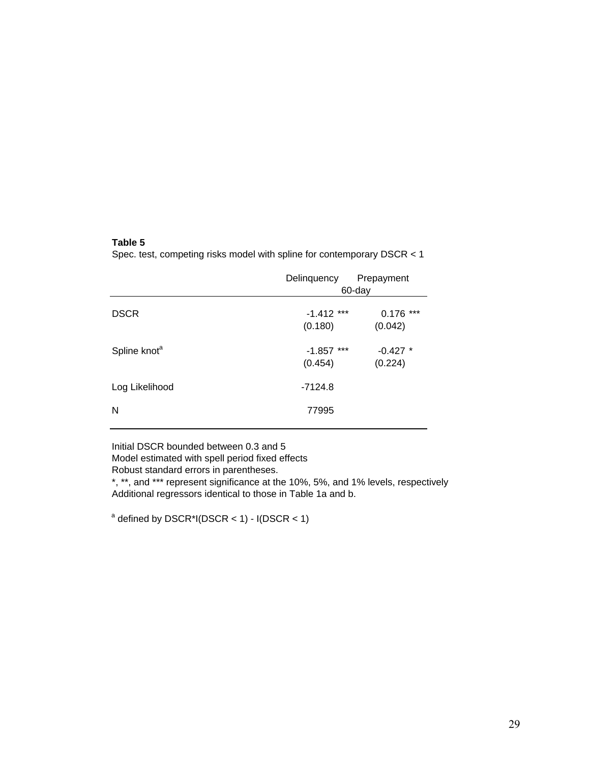### **Table 5**

Spec. test, competing risks model with spline for contemporary DSCR < 1

|                          | Delinquency             | Prepayment<br>60-day   |
|--------------------------|-------------------------|------------------------|
| <b>DSCR</b>              | $-1.412$ ***<br>(0.180) | $0.176$ ***<br>(0.042) |
| Spline knot <sup>a</sup> | $-1.857$ ***<br>(0.454) | $-0.427$ *<br>(0.224)  |
| Log Likelihood           | $-7124.8$               |                        |
| N                        | 77995                   |                        |

Initial DSCR bounded between 0.3 and 5 Model estimated with spell period fixed effects

Robust standard errors in parentheses.

\*, \*\*, and \*\*\* represent significance at the 10%, 5%, and 1% levels, respectively Additional regressors identical to those in Table 1a and b.

 $a$  defined by DSCR<sup>\*</sup>I(DSCR < 1) - I(DSCR < 1)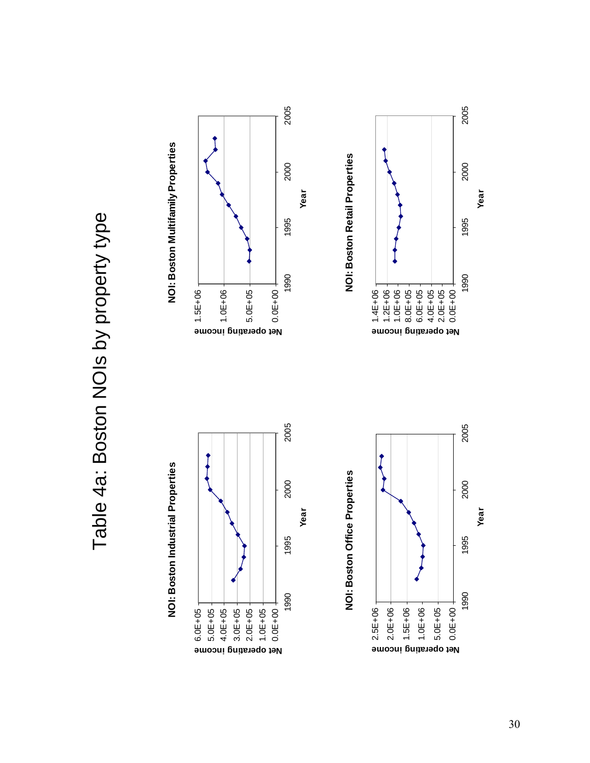









**NOI: Boston Industrial Properties**

NOI: Boston Industrial Properties





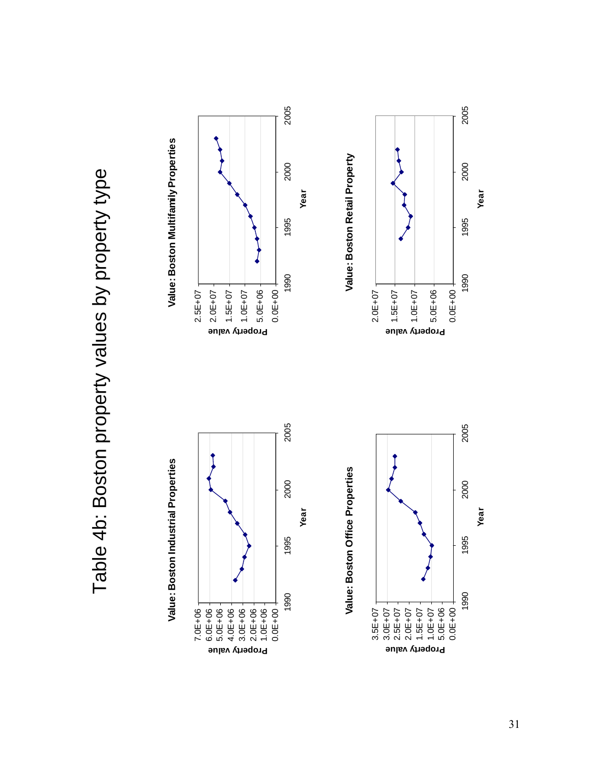









**Value: Boston Industrial Properties**

Value: Boston Industrial Properties





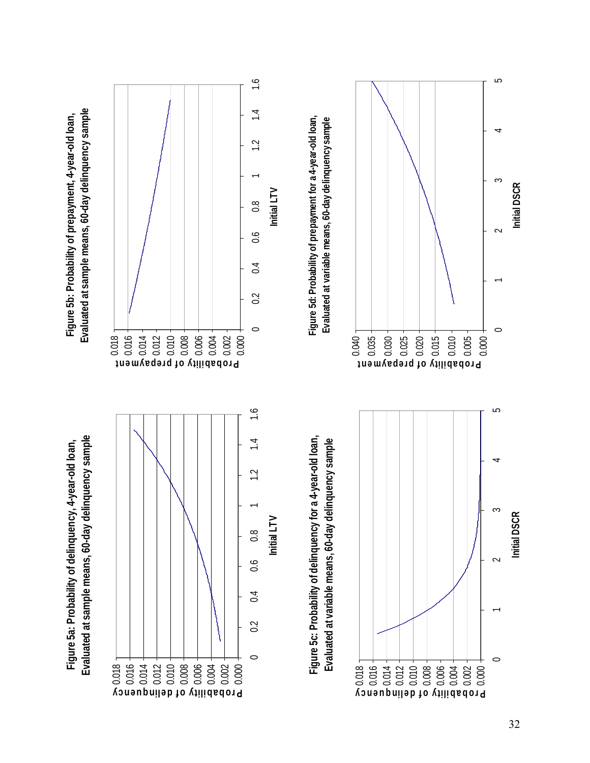



မာ

4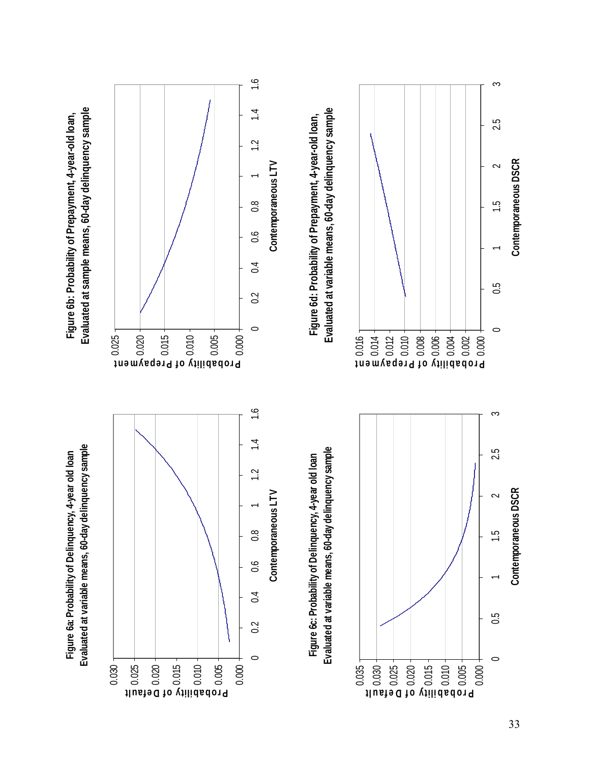

33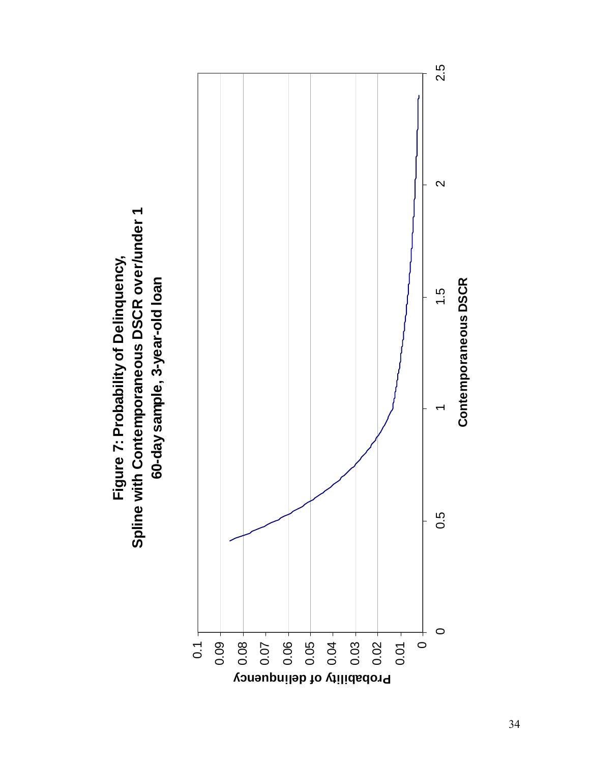Spline with Contemporaneous DSCR over/under 1 **Spline with Contemporaneous DSCR over/under 1** Figure 7: Probability of Delinquency, **Figure 7: Probability of Delinquency,**  60-day sample, 3-year-old loan **60-day sample, 3-year-old loan**